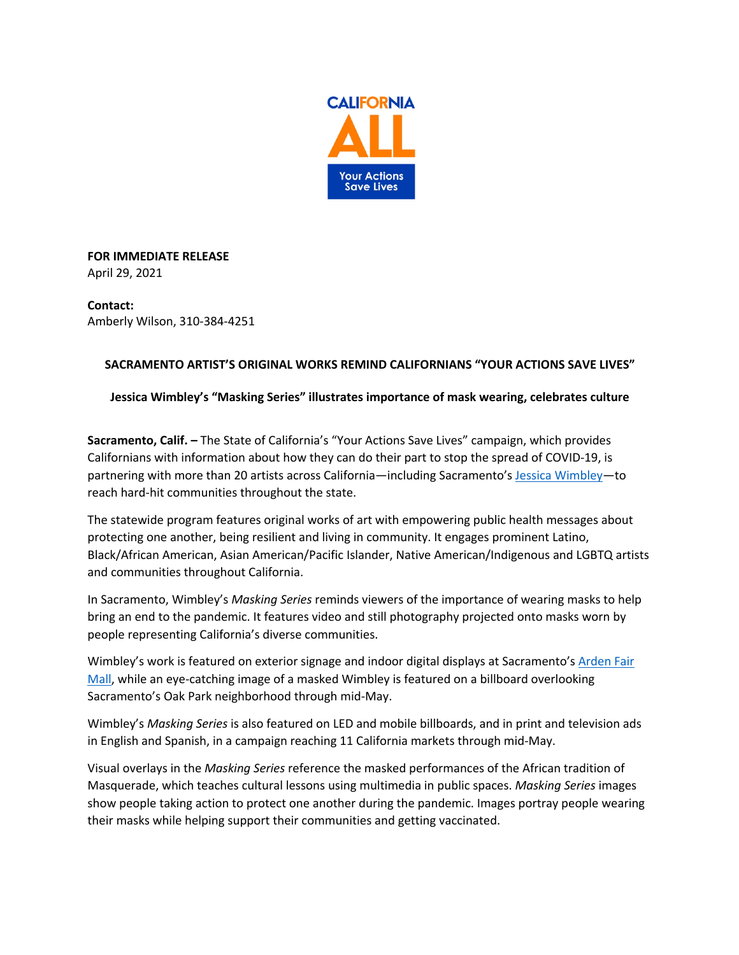

**FOR IMMEDIATE RELEASE** April 29, 2021

**Contact:** Amberly Wilson, 310-384-4251

## **SACRAMENTO ARTIST'S ORIGINAL WORKS REMIND CALIFORNIANS "YOUR ACTIONS SAVE LIVES"**

## **Jessica Wimbley's "Masking Series" illustrates importance of mask wearing, celebrates culture**

**Sacramento, Calif. –** The State of California's "Your Actions Save Lives" campaign, which provides Californians with information about how they can do their part to stop the spread of COVID-19, is partnering with more than 20 artists across California—including Sacramento's Jessica Wimbley—to reach hard-hit communities throughout the state.

The statewide program features original works of art with empowering public health messages about protecting one another, being resilient and living in community. It engages prominent Latino, Black/African American, Asian American/Pacific Islander, Native American/Indigenous and LGBTQ artists and communities throughout California.

In Sacramento, Wimbley's *Masking Series* reminds viewers of the importance of wearing masks to help bring an end to the pandemic. It features video and still photography projected onto masks worn by people representing California's diverse communities.

Wimbley's work is featured on exterior signage and indoor digital displays at Sacramento's Arden Fair Mall, while an eye-catching image of a masked Wimbley is featured on a billboard overlooking Sacramento's Oak Park neighborhood through mid-May.

Wimbley's *Masking Series* is also featured on LED and mobile billboards, and in print and television ads in English and Spanish, in a campaign reaching 11 California markets through mid-May.

Visual overlays in the *Masking Series* reference the masked performances of the African tradition of Masquerade, which teaches cultural lessons using multimedia in public spaces. *Masking Series* images show people taking action to protect one another during the pandemic. Images portray people wearing their masks while helping support their communities and getting vaccinated.